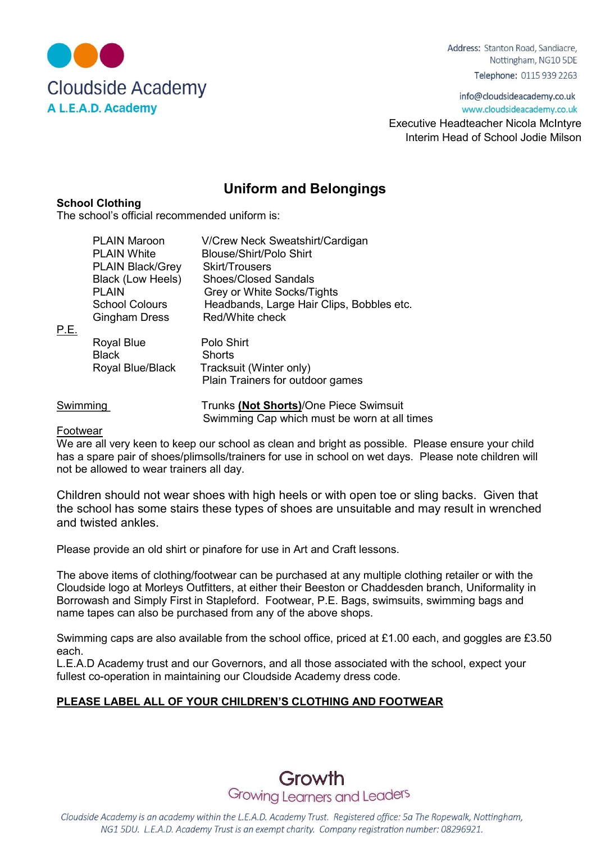

Address: Stanton Road, Sandiacre, Nottingham, NG10 5DE Telephone: 0115 939 2263

info@cloudsideacademy.co.uk www.cloudsideacademy.co.uk

 Executive Headteacher Nicola McIntyre Interim Head of School Jodie Milson

# Uniform and Belongings

## School Clothing

The school's official recommended uniform is:

| P.E.     | <b>PLAIN Maroon</b><br><b>PLAIN White</b><br><b>PLAIN Black/Grey</b><br><b>Black (Low Heels)</b><br><b>PLAIN</b><br><b>School Colours</b><br><b>Gingham Dress</b> | V/Crew Neck Sweatshirt/Cardigan<br><b>Blouse/Shirt/Polo Shirt</b><br><b>Skirt/Trousers</b><br><b>Shoes/Closed Sandals</b><br>Grey or White Socks/Tights<br>Headbands, Large Hair Clips, Bobbles etc.<br>Red/White check |
|----------|-------------------------------------------------------------------------------------------------------------------------------------------------------------------|-------------------------------------------------------------------------------------------------------------------------------------------------------------------------------------------------------------------------|
|          | Royal Blue<br><b>Black</b><br>Royal Blue/Black                                                                                                                    | Polo Shirt<br>Shorts<br>Tracksuit (Winter only)<br>Plain Trainers for outdoor games                                                                                                                                     |
| Swimming |                                                                                                                                                                   | Trunks (Not Shorts)/One Piece Swimsuit                                                                                                                                                                                  |

Swimming Cap which must be worn at all times

## Footwear

We are all very keen to keep our school as clean and bright as possible. Please ensure your child has a spare pair of shoes/plimsolls/trainers for use in school on wet days. Please note children will not be allowed to wear trainers all day.

Children should not wear shoes with high heels or with open toe or sling backs. Given that the school has some stairs these types of shoes are unsuitable and may result in wrenched and twisted ankles.

Please provide an old shirt or pinafore for use in Art and Craft lessons.

The above items of clothing/footwear can be purchased at any multiple clothing retailer or with the Cloudside logo at Morleys Outfitters, at either their Beeston or Chaddesden branch, Uniformality in Borrowash and Simply First in Stapleford. Footwear, P.E. Bags, swimsuits, swimming bags and name tapes can also be purchased from any of the above shops.

Swimming caps are also available from the school office, priced at £1.00 each, and goggles are £3.50 each.

L.E.A.D Academy trust and our Governors, and all those associated with the school, expect your fullest co-operation in maintaining our Cloudside Academy dress code.

## PLEASE LABEL ALL OF YOUR CHILDREN'S CLOTHING AND FOOTWEAR



Cloudside Academy is an academy within the L.E.A.D. Academy Trust. Registered office: 5a The Ropewalk, Nottingham, NG1 5DU. L.E.A.D. Academy Trust is an exempt charity. Company registration number: 08296921.